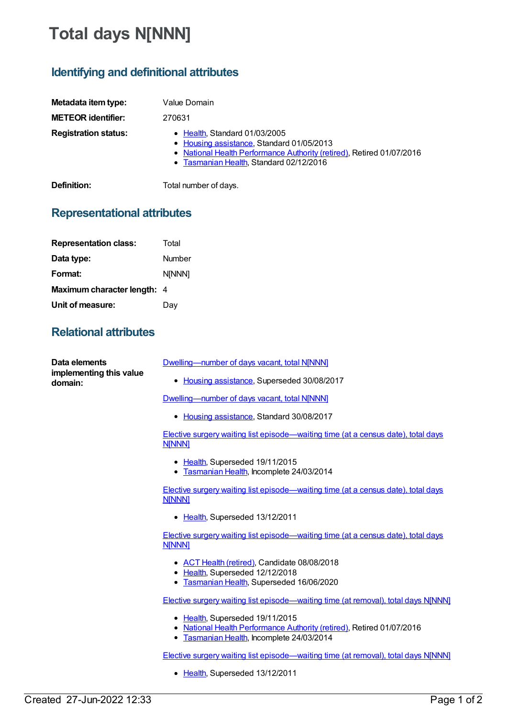## **Total days N[NNN]**

## **Identifying and definitional attributes**

| Metadata item type:         | Value Domain                                                                                                                                                                                   |
|-----------------------------|------------------------------------------------------------------------------------------------------------------------------------------------------------------------------------------------|
| <b>METEOR identifier:</b>   | 270631                                                                                                                                                                                         |
| <b>Registration status:</b> | • Health, Standard 01/03/2005<br>• Housing assistance, Standard 01/05/2013<br>• National Health Performance Authority (retired), Retired 01/07/2016<br>• Tasmanian Health, Standard 02/12/2016 |
| Definition:                 | Total number of days.                                                                                                                                                                          |

## **Representational attributes**

| <b>Representation class:</b> | Total  |
|------------------------------|--------|
| Data type:                   | Number |
| Format:                      | N[NNN] |
| Maximum character length: 4  |        |
| Unit of measure:             | Dav    |

## **Relational attributes**

| Data elements<br>implementing this value<br>domain: | Dwelling-number of days vacant, total NJNNN]                                                                                                          |
|-----------------------------------------------------|-------------------------------------------------------------------------------------------------------------------------------------------------------|
|                                                     | • Housing assistance, Superseded 30/08/2017                                                                                                           |
|                                                     | Dwelling-number of days vacant, total NJNNN]                                                                                                          |
|                                                     | • Housing assistance, Standard 30/08/2017                                                                                                             |
|                                                     | Elective surgery waiting list episode—waiting time (at a census date), total days<br><b>N[NNN]</b>                                                    |
|                                                     | • Health, Superseded 19/11/2015<br>• Tasmanian Health, Incomplete 24/03/2014                                                                          |
|                                                     | Elective surgery waiting list episode—waiting time (at a census date), total days<br><b>N[NNN]</b>                                                    |
|                                                     | • Health, Superseded 13/12/2011                                                                                                                       |
|                                                     | <b>Elective surgery waiting list episode—waiting time (at a census date), total days</b><br><b>N[NNN]</b>                                             |
|                                                     | • ACT Health (retired), Candidate 08/08/2018<br>• Health, Superseded 12/12/2018                                                                       |
|                                                     | • Tasmanian Health, Superseded 16/06/2020                                                                                                             |
|                                                     | <b>Elective surgery waiting list episode—waiting time (at removal), total days N[NNN]</b>                                                             |
|                                                     | • Health, Superseded 19/11/2015<br>• National Health Performance Authority (retired), Retired 01/07/2016<br>• Tasmanian Health, Incomplete 24/03/2014 |
|                                                     | <b>Elective surgery waiting list episode—waiting time (at removal), total days N[NNN]</b>                                                             |
|                                                     | • Health, Superseded 13/12/2011                                                                                                                       |